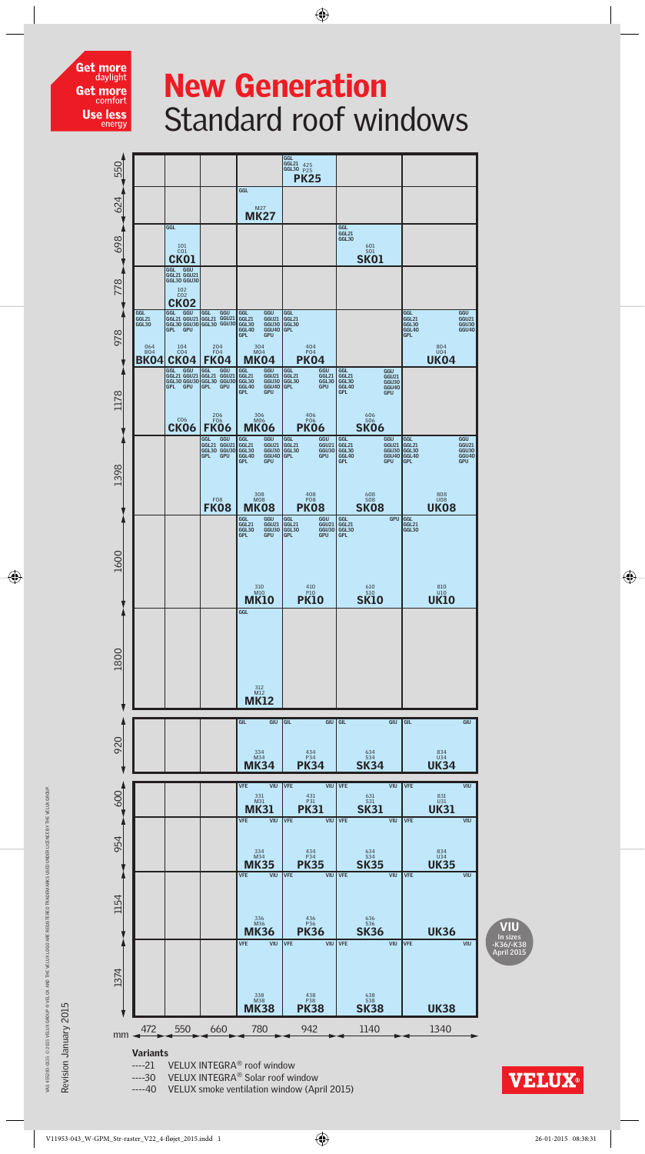

## New Generation Standard roof windows

 $\bigoplus$ 





Revision January 2015 Revision January 2015

VAS 455283-0115 @ 2015 VELUX GROUP @ VELUX AND THE VELUX

VAS 455283-0115 © 2015 VELUX Group ® VELUX and the VELUX logo are registered trademarks used under licenCe by THE velUX Group.

 $1000$ 

 $\overline{\textcolor{black}{\bigoplus}}$ 

**VELUX** 

V11953-043\_W-GPM\_Str-raster\_V22\_4-fløjet\_2015.indd 1 26-01-2015 08:38:31

----30 VELUX INTEGRA® Solar roof window

VELUX smoke ventilation window (April 2015)

 $\bigoplus$